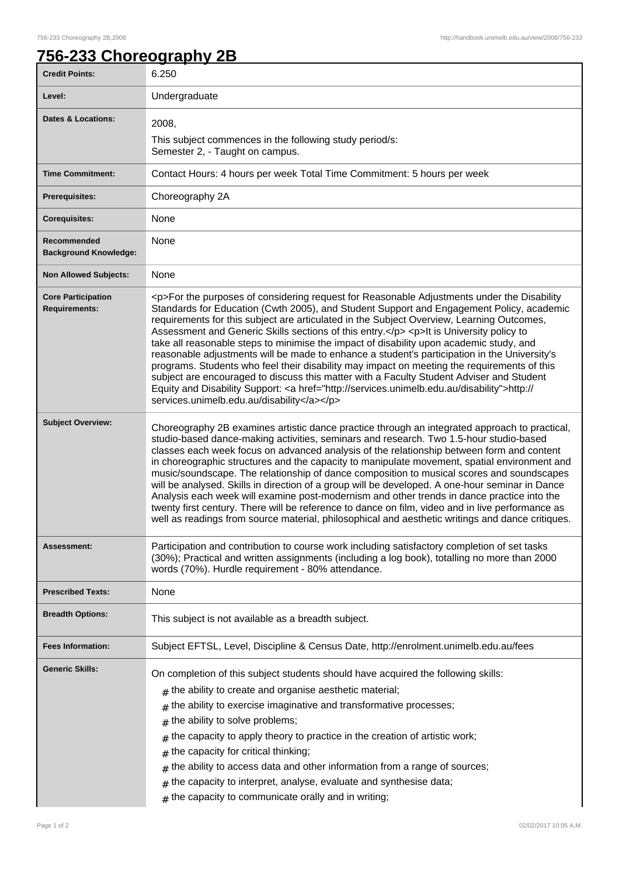## **756-233 Choreography 2B**

| <b>Credit Points:</b>                             | 6.250                                                                                                                                                                                                                                                                                                                                                                                                                                                                                                                                                                                                                                                                                                                                                                                                                                                                                                                                            |
|---------------------------------------------------|--------------------------------------------------------------------------------------------------------------------------------------------------------------------------------------------------------------------------------------------------------------------------------------------------------------------------------------------------------------------------------------------------------------------------------------------------------------------------------------------------------------------------------------------------------------------------------------------------------------------------------------------------------------------------------------------------------------------------------------------------------------------------------------------------------------------------------------------------------------------------------------------------------------------------------------------------|
| Level:                                            | Undergraduate                                                                                                                                                                                                                                                                                                                                                                                                                                                                                                                                                                                                                                                                                                                                                                                                                                                                                                                                    |
| <b>Dates &amp; Locations:</b>                     | 2008,                                                                                                                                                                                                                                                                                                                                                                                                                                                                                                                                                                                                                                                                                                                                                                                                                                                                                                                                            |
|                                                   | This subject commences in the following study period/s:<br>Semester 2, - Taught on campus.                                                                                                                                                                                                                                                                                                                                                                                                                                                                                                                                                                                                                                                                                                                                                                                                                                                       |
| <b>Time Commitment:</b>                           | Contact Hours: 4 hours per week Total Time Commitment: 5 hours per week                                                                                                                                                                                                                                                                                                                                                                                                                                                                                                                                                                                                                                                                                                                                                                                                                                                                          |
| <b>Prerequisites:</b>                             | Choreography 2A                                                                                                                                                                                                                                                                                                                                                                                                                                                                                                                                                                                                                                                                                                                                                                                                                                                                                                                                  |
| <b>Corequisites:</b>                              | None                                                                                                                                                                                                                                                                                                                                                                                                                                                                                                                                                                                                                                                                                                                                                                                                                                                                                                                                             |
| Recommended<br><b>Background Knowledge:</b>       | None                                                                                                                                                                                                                                                                                                                                                                                                                                                                                                                                                                                                                                                                                                                                                                                                                                                                                                                                             |
| <b>Non Allowed Subjects:</b>                      | None                                                                                                                                                                                                                                                                                                                                                                                                                                                                                                                                                                                                                                                                                                                                                                                                                                                                                                                                             |
| <b>Core Participation</b><br><b>Requirements:</b> | <p>For the purposes of considering request for Reasonable Adjustments under the Disability<br/>Standards for Education (Cwth 2005), and Student Support and Engagement Policy, academic<br/>requirements for this subject are articulated in the Subject Overview, Learning Outcomes,<br/>Assessment and Generic Skills sections of this entry.</p> <p> <p> <h>&gt;It is University policy to<br/>take all reasonable steps to minimise the impact of disability upon academic study, and<br/>reasonable adjustments will be made to enhance a student's participation in the University's<br/>programs. Students who feel their disability may impact on meeting the requirements of this<br/>subject are encouraged to discuss this matter with a Faculty Student Adviser and Student<br/>Equity and Disability Support: &lt; a href="http://services.unimelb.edu.au/disability"&gt;http://<br/>services.unimelb.edu.au/disability</h></p></p> |
| <b>Subject Overview:</b>                          | Choreography 2B examines artistic dance practice through an integrated approach to practical,<br>studio-based dance-making activities, seminars and research. Two 1.5-hour studio-based<br>classes each week focus on advanced analysis of the relationship between form and content<br>in choreographic structures and the capacity to manipulate movement, spatial environment and<br>music/soundscape. The relationship of dance composition to musical scores and soundscapes<br>will be analysed. Skills in direction of a group will be developed. A one-hour seminar in Dance<br>Analysis each week will examine post-modernism and other trends in dance practice into the<br>twenty first century. There will be reference to dance on film, video and in live performance as<br>well as readings from source material, philosophical and aesthetic writings and dance critiques.                                                       |
| Assessment:                                       | Participation and contribution to course work including satisfactory completion of set tasks<br>(30%); Practical and written assignments (including a log book), totalling no more than 2000<br>words (70%). Hurdle requirement - 80% attendance.                                                                                                                                                                                                                                                                                                                                                                                                                                                                                                                                                                                                                                                                                                |
| <b>Prescribed Texts:</b>                          | None                                                                                                                                                                                                                                                                                                                                                                                                                                                                                                                                                                                                                                                                                                                                                                                                                                                                                                                                             |
| <b>Breadth Options:</b>                           | This subject is not available as a breadth subject.                                                                                                                                                                                                                                                                                                                                                                                                                                                                                                                                                                                                                                                                                                                                                                                                                                                                                              |
| <b>Fees Information:</b>                          | Subject EFTSL, Level, Discipline & Census Date, http://enrolment.unimelb.edu.au/fees                                                                                                                                                                                                                                                                                                                                                                                                                                                                                                                                                                                                                                                                                                                                                                                                                                                             |
| <b>Generic Skills:</b>                            | On completion of this subject students should have acquired the following skills:<br>$#$ the ability to create and organise aesthetic material;<br>the ability to exercise imaginative and transformative processes;<br>#<br>the ability to solve problems;<br>#<br>the capacity to apply theory to practice in the creation of artistic work;<br>#<br>the capacity for critical thinking;<br>#<br>the ability to access data and other information from a range of sources;<br>the capacity to interpret, analyse, evaluate and synthesise data;<br>#<br>the capacity to communicate orally and in writing;<br>#                                                                                                                                                                                                                                                                                                                                |